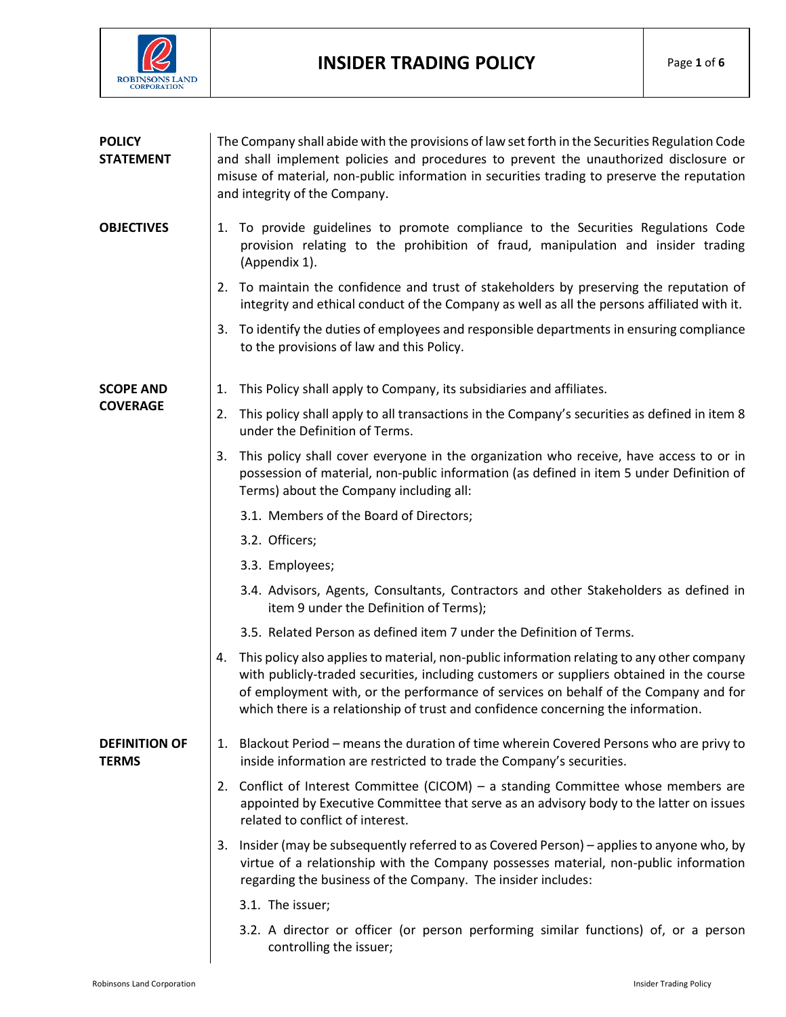

| <b>POLICY</b><br><b>STATEMENT</b>    | The Company shall abide with the provisions of law set forth in the Securities Regulation Code<br>and shall implement policies and procedures to prevent the unauthorized disclosure or<br>misuse of material, non-public information in securities trading to preserve the reputation<br>and integrity of the Company.                                                  |  |
|--------------------------------------|--------------------------------------------------------------------------------------------------------------------------------------------------------------------------------------------------------------------------------------------------------------------------------------------------------------------------------------------------------------------------|--|
| <b>OBJECTIVES</b>                    | 1. To provide guidelines to promote compliance to the Securities Regulations Code<br>provision relating to the prohibition of fraud, manipulation and insider trading<br>(Appendix 1).                                                                                                                                                                                   |  |
|                                      | 2. To maintain the confidence and trust of stakeholders by preserving the reputation of<br>integrity and ethical conduct of the Company as well as all the persons affiliated with it.                                                                                                                                                                                   |  |
|                                      | To identify the duties of employees and responsible departments in ensuring compliance<br>3.<br>to the provisions of law and this Policy.                                                                                                                                                                                                                                |  |
| <b>SCOPE AND</b><br><b>COVERAGE</b>  | This Policy shall apply to Company, its subsidiaries and affiliates.<br>1.                                                                                                                                                                                                                                                                                               |  |
|                                      | This policy shall apply to all transactions in the Company's securities as defined in item 8<br>2.<br>under the Definition of Terms.                                                                                                                                                                                                                                     |  |
|                                      | This policy shall cover everyone in the organization who receive, have access to or in<br>3.<br>possession of material, non-public information (as defined in item 5 under Definition of<br>Terms) about the Company including all:                                                                                                                                      |  |
|                                      | 3.1. Members of the Board of Directors;                                                                                                                                                                                                                                                                                                                                  |  |
|                                      | 3.2. Officers;                                                                                                                                                                                                                                                                                                                                                           |  |
|                                      | 3.3. Employees;                                                                                                                                                                                                                                                                                                                                                          |  |
|                                      | 3.4. Advisors, Agents, Consultants, Contractors and other Stakeholders as defined in<br>item 9 under the Definition of Terms);                                                                                                                                                                                                                                           |  |
|                                      | 3.5. Related Person as defined item 7 under the Definition of Terms.                                                                                                                                                                                                                                                                                                     |  |
|                                      | This policy also applies to material, non-public information relating to any other company<br>4.<br>with publicly-traded securities, including customers or suppliers obtained in the course<br>of employment with, or the performance of services on behalf of the Company and for<br>which there is a relationship of trust and confidence concerning the information. |  |
| <b>DEFINITION OF</b><br><b>TERMS</b> | 1. Blackout Period - means the duration of time wherein Covered Persons who are privy to<br>inside information are restricted to trade the Company's securities.                                                                                                                                                                                                         |  |
|                                      | 2. Conflict of Interest Committee (CICOM) – a standing Committee whose members are<br>appointed by Executive Committee that serve as an advisory body to the latter on issues<br>related to conflict of interest.                                                                                                                                                        |  |
|                                      | Insider (may be subsequently referred to as Covered Person) – applies to anyone who, by<br>3.<br>virtue of a relationship with the Company possesses material, non-public information<br>regarding the business of the Company. The insider includes:                                                                                                                    |  |
|                                      | 3.1. The issuer;                                                                                                                                                                                                                                                                                                                                                         |  |
|                                      | 3.2. A director or officer (or person performing similar functions) of, or a person<br>controlling the issuer;                                                                                                                                                                                                                                                           |  |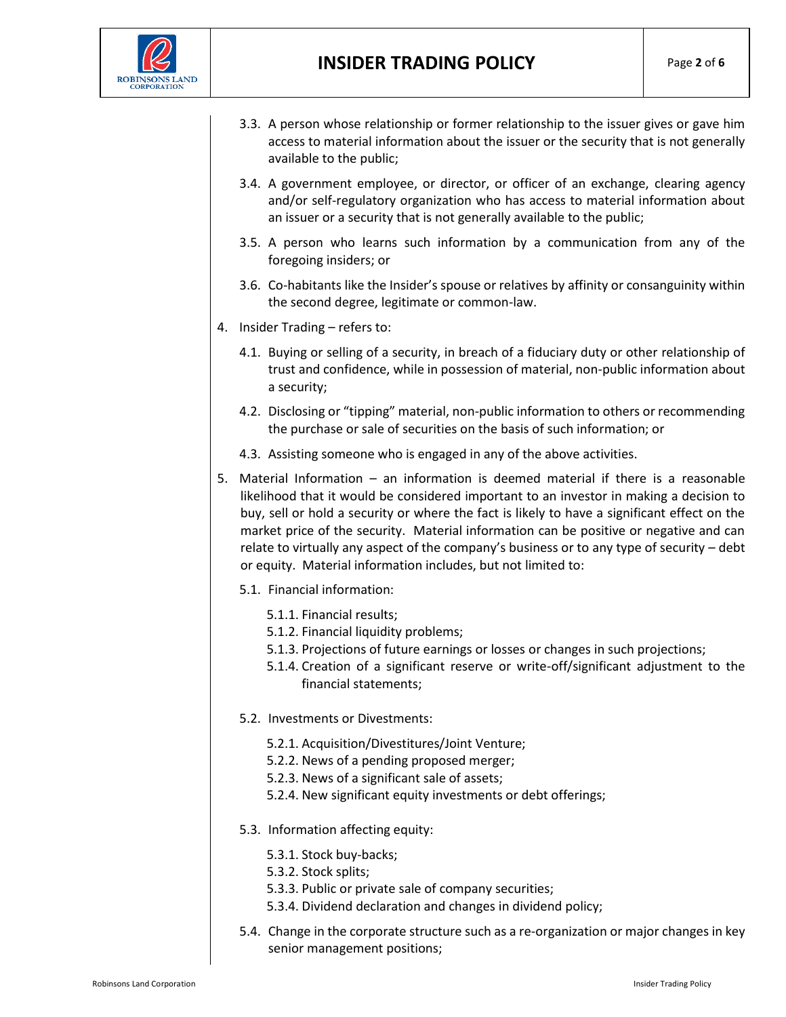

- 3.3. A person whose relationship or former relationship to the issuer gives or gave him access to material information about the issuer or the security that is not generally available to the public;
- 3.4. A government employee, or director, or officer of an exchange, clearing agency and/or self-regulatory organization who has access to material information about an issuer or a security that is not generally available to the public;
- 3.5. A person who learns such information by a communication from any of the foregoing insiders; or
- 3.6. Co-habitants like the Insider's spouse or relatives by affinity or consanguinity within the second degree, legitimate or common-law.
- 4. Insider Trading refers to:
	- 4.1. Buying or selling of a security, in breach of a fiduciary duty or other relationship of trust and confidence, while in possession of material, non-public information about a security;
	- 4.2. Disclosing or "tipping" material, non-public information to others or recommending the purchase or sale of securities on the basis of such information; or
	- 4.3. Assisting someone who is engaged in any of the above activities.
- 5. Material Information an information is deemed material if there is a reasonable likelihood that it would be considered important to an investor in making a decision to buy, sell or hold a security or where the fact is likely to have a significant effect on the market price of the security. Material information can be positive or negative and can relate to virtually any aspect of the company's business or to any type of security – debt or equity. Material information includes, but not limited to:
	- 5.1. Financial information:
		- 5.1.1. Financial results;
		- 5.1.2. Financial liquidity problems;
		- 5.1.3. Projections of future earnings or losses or changes in such projections;
		- 5.1.4. Creation of a significant reserve or write-off/significant adjustment to the financial statements;
	- 5.2. Investments or Divestments:
		- 5.2.1. Acquisition/Divestitures/Joint Venture;
		- 5.2.2. News of a pending proposed merger;
		- 5.2.3. News of a significant sale of assets;
		- 5.2.4. New significant equity investments or debt offerings;
	- 5.3. Information affecting equity:
		- 5.3.1. Stock buy-backs;
		- 5.3.2. Stock splits;
		- 5.3.3. Public or private sale of company securities;
		- 5.3.4. Dividend declaration and changes in dividend policy;
	- 5.4. Change in the corporate structure such as a re-organization or major changes in key senior management positions;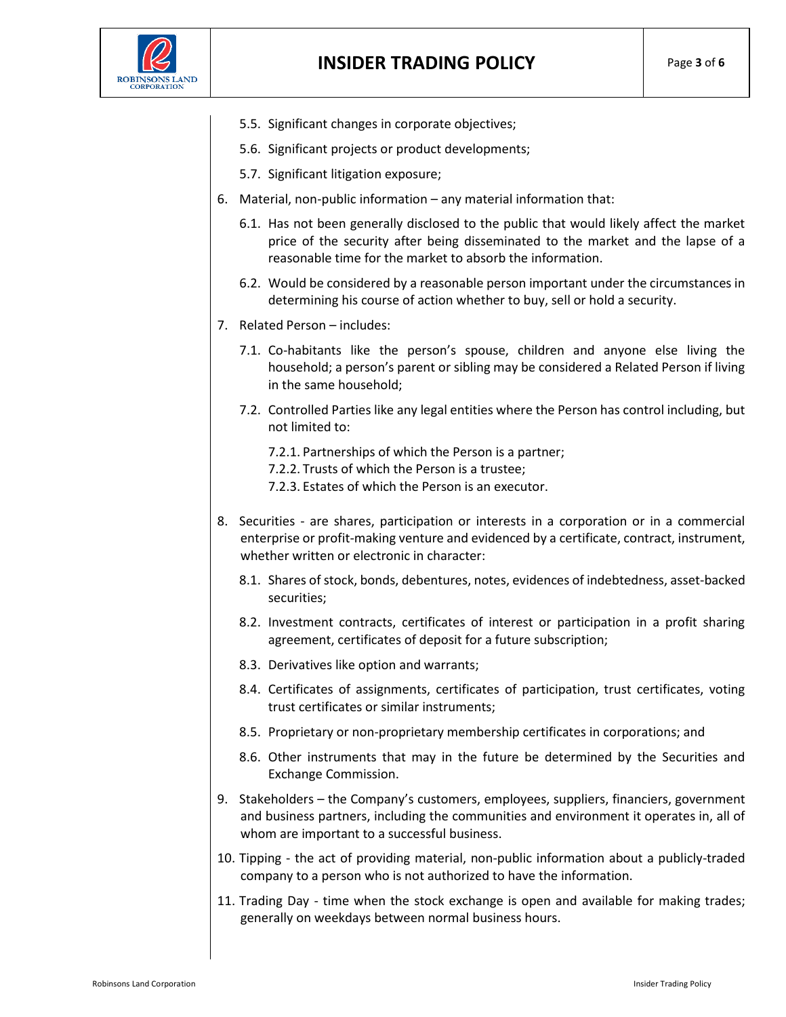

- 5.5. Significant changes in corporate objectives;
- 5.6. Significant projects or product developments;
- 5.7. Significant litigation exposure;
- 6. Material, non-public information any material information that:
	- 6.1. Has not been generally disclosed to the public that would likely affect the market price of the security after being disseminated to the market and the lapse of a reasonable time for the market to absorb the information.
	- 6.2. Would be considered by a reasonable person important under the circumstances in determining his course of action whether to buy, sell or hold a security.
- 7. Related Person includes:
	- 7.1. Co-habitants like the person's spouse, children and anyone else living the household; a person's parent or sibling may be considered a Related Person if living in the same household;
	- 7.2. Controlled Parties like any legal entities where the Person has control including, but not limited to:
		- 7.2.1. Partnerships of which the Person is a partner;
		- 7.2.2. Trusts of which the Person is a trustee;
		- 7.2.3. Estates of which the Person is an executor.
- 8. Securities are shares, participation or interests in a corporation or in a commercial enterprise or profit-making venture and evidenced by a certificate, contract, instrument, whether written or electronic in character:
	- 8.1. Shares of stock, bonds, debentures, notes, evidences of indebtedness, asset-backed securities;
	- 8.2. Investment contracts, certificates of interest or participation in a profit sharing agreement, certificates of deposit for a future subscription;
	- 8.3. Derivatives like option and warrants;
	- 8.4. Certificates of assignments, certificates of participation, trust certificates, voting trust certificates or similar instruments;
	- 8.5. Proprietary or non-proprietary membership certificates in corporations; and
	- 8.6. Other instruments that may in the future be determined by the Securities and Exchange Commission.
- 9. Stakeholders the Company's customers, employees, suppliers, financiers, government and business partners, including the communities and environment it operates in, all of whom are important to a successful business.
- 10. Tipping the act of providing material, non-public information about a publicly-traded company to a person who is not authorized to have the information.
- 11. Trading Day time when the [stock exchange](http://www.investorwords.com/4733/stock_exchange.html) is [open](http://www.investorwords.com/3432/open.html) and [available](http://www.investorwords.com/8894/available.html) for [making](http://www.investorwords.com/2925/maker.html) [trades;](http://www.investorwords.com/5014/trade.html) generally on weekdays between normal [business](http://www.investorwords.com/623/business.html) [hours.](http://www.investorwords.com/9966/hour.html)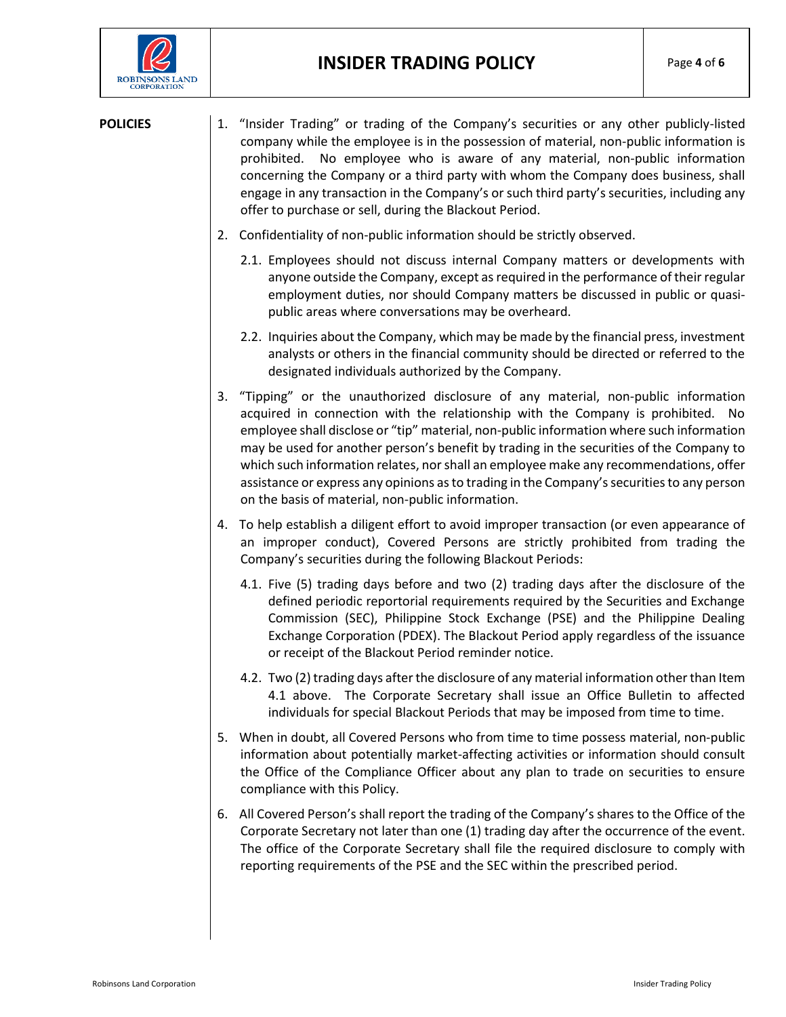

- **POLICIES** 1. "Insider Trading" or trading of the Company's securities or any other publicly-listed company while the employee is in the possession of material, non-public information is prohibited. No employee who is aware of any material, non-public information concerning the Company or a third party with whom the Company does business, shall engage in any transaction in the Company's or such third party's securities, including any offer to purchase or sell, during the Blackout Period.
	- 2. Confidentiality of non-public information should be strictly observed.
		- 2.1. Employees should not discuss internal Company matters or developments with anyone outside the Company, except as required in the performance of their regular employment duties, nor should Company matters be discussed in public or quasipublic areas where conversations may be overheard.
		- 2.2. Inquiries about the Company, which may be made by the financial press, investment analysts or others in the financial community should be directed or referred to the designated individuals authorized by the Company.
	- 3. "Tipping" or the unauthorized disclosure of any material, non-public information acquired in connection with the relationship with the Company is prohibited. No employee shall disclose or "tip" material, non-public information where such information may be used for another person's benefit by trading in the securities of the Company to which such information relates, nor shall an employee make any recommendations, offer assistance or express any opinions as to trading in the Company's securities to any person on the basis of material, non-public information.
	- 4. To help establish a diligent effort to avoid improper transaction (or even appearance of an improper conduct), Covered Persons are strictly prohibited from trading the Company's securities during the following Blackout Periods:
		- 4.1. Five (5) trading days before and two (2) trading days after the disclosure of the defined periodic reportorial requirements required by the Securities and Exchange Commission (SEC), Philippine Stock Exchange (PSE) and the Philippine Dealing Exchange Corporation (PDEX). The Blackout Period apply regardless of the issuance or receipt of the Blackout Period reminder notice.
		- 4.2. Two (2) trading days after the disclosure of any material information other than Item 4.1 above. The Corporate Secretary shall issue an Office Bulletin to affected individuals for special Blackout Periods that may be imposed from time to time.
	- 5. When in doubt, all Covered Persons who from time to time possess material, non-public information about potentially market-affecting activities or information should consult the Office of the Compliance Officer about any plan to trade on securities to ensure compliance with this Policy.
	- 6. All Covered Person's shall report the trading of the Company's shares to the Office of the Corporate Secretary not later than one (1) trading day after the occurrence of the event. The office of the Corporate Secretary shall file the required disclosure to comply with reporting requirements of the PSE and the SEC within the prescribed period.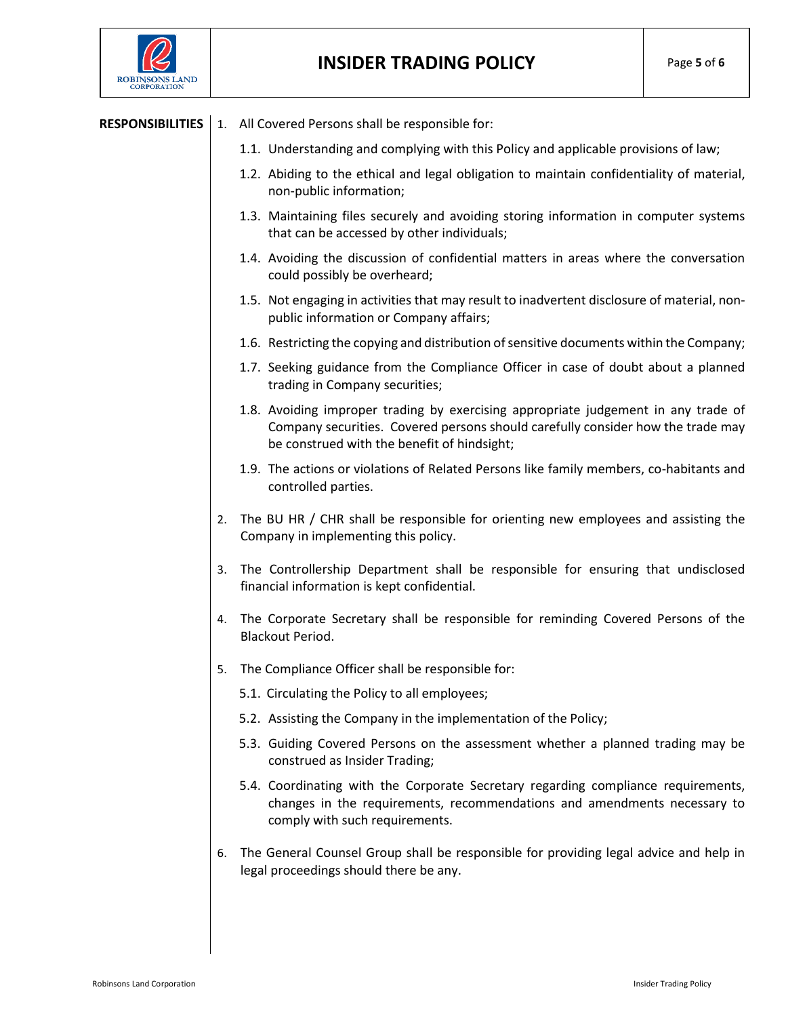

## **INSIDER TRADING POLICY** Page **<sup>5</sup>** of **<sup>6</sup>**

## **RESPONSIBILITIES** 1. All Covered Persons shall be responsible for:

- 1.1. Understanding and complying with this Policy and applicable provisions of law;
- 1.2. Abiding to the ethical and legal obligation to maintain confidentiality of material, non-public information;
- 1.3. Maintaining files securely and avoiding storing information in computer systems that can be accessed by other individuals;
- 1.4. Avoiding the discussion of confidential matters in areas where the conversation could possibly be overheard;
- 1.5. Not engaging in activities that may result to inadvertent disclosure of material, nonpublic information or Company affairs;
- 1.6. Restricting the copying and distribution of sensitive documents within the Company;
- 1.7. Seeking guidance from the Compliance Officer in case of doubt about a planned trading in Company securities;
- 1.8. Avoiding improper trading by exercising appropriate judgement in any trade of Company securities. Covered persons should carefully consider how the trade may be construed with the benefit of hindsight;
- 1.9. The actions or violations of Related Persons like family members, co-habitants and controlled parties.
- 2. The BU HR / CHR shall be responsible for orienting new employees and assisting the Company in implementing this policy.
- 3. The Controllership Department shall be responsible for ensuring that undisclosed financial information is kept confidential.
- 4. The Corporate Secretary shall be responsible for reminding Covered Persons of the Blackout Period.
- 5. The Compliance Officer shall be responsible for:
	- 5.1. Circulating the Policy to all employees;
	- 5.2. Assisting the Company in the implementation of the Policy;
	- 5.3. Guiding Covered Persons on the assessment whether a planned trading may be construed as Insider Trading;
	- 5.4. Coordinating with the Corporate Secretary regarding compliance requirements, changes in the requirements, recommendations and amendments necessary to comply with such requirements.
- 6. The General Counsel Group shall be responsible for providing legal advice and help in legal proceedings should there be any.